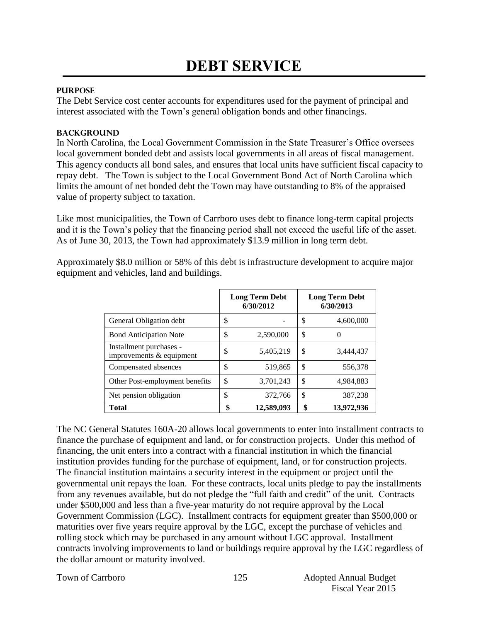### **PURPOSE**

The Debt Service cost center accounts for expenditures used for the payment of principal and interest associated with the Town's general obligation bonds and other financings.

### **BACKGROUND**

In North Carolina, the Local Government Commission in the State Treasurer's Office oversees local government bonded debt and assists local governments in all areas of fiscal management. This agency conducts all bond sales, and ensures that local units have sufficient fiscal capacity to repay debt. The Town is subject to the Local Government Bond Act of North Carolina which limits the amount of net bonded debt the Town may have outstanding to 8% of the appraised value of property subject to taxation.

Like most municipalities, the Town of Carrboro uses debt to finance long-term capital projects and it is the Town's policy that the financing period shall not exceed the useful life of the asset. As of June 30, 2013, the Town had approximately \$13.9 million in long term debt.

Approximately \$8.0 million or 58% of this debt is infrastructure development to acquire major equipment and vehicles, land and buildings.

|                                                       | <b>Long Term Debt</b><br>6/30/2012 | <b>Long Term Debt</b><br>6/30/2013 |            |  |
|-------------------------------------------------------|------------------------------------|------------------------------------|------------|--|
| General Obligation debt                               | \$                                 | \$                                 | 4,600,000  |  |
| <b>Bond Anticipation Note</b>                         | \$<br>2,590,000                    | \$                                 | 0          |  |
| Installment purchases -<br>improvements $&$ equipment | \$<br>5,405,219                    | \$                                 | 3,444,437  |  |
| Compensated absences                                  | \$<br>519,865                      | \$                                 | 556,378    |  |
| Other Post-employment benefits                        | \$<br>3,701,243                    | \$                                 | 4,984,883  |  |
| Net pension obligation                                | \$<br>372,766                      | \$                                 | 387,238    |  |
| <b>Total</b>                                          | \$<br>12,589,093                   | \$                                 | 13,972,936 |  |

The NC General Statutes 160A-20 allows local governments to enter into installment contracts to finance the purchase of equipment and land, or for construction projects. Under this method of financing, the unit enters into a contract with a financial institution in which the financial institution provides funding for the purchase of equipment, land, or for construction projects. The financial institution maintains a security interest in the equipment or project until the governmental unit repays the loan. For these contracts, local units pledge to pay the installments from any revenues available, but do not pledge the "full faith and credit" of the unit. Contracts under \$500,000 and less than a five-year maturity do not require approval by the Local Government Commission (LGC). Installment contracts for equipment greater than \$500,000 or maturities over five years require approval by the LGC, except the purchase of vehicles and rolling stock which may be purchased in any amount without LGC approval. Installment contracts involving improvements to land or buildings require approval by the LGC regardless of the dollar amount or maturity involved.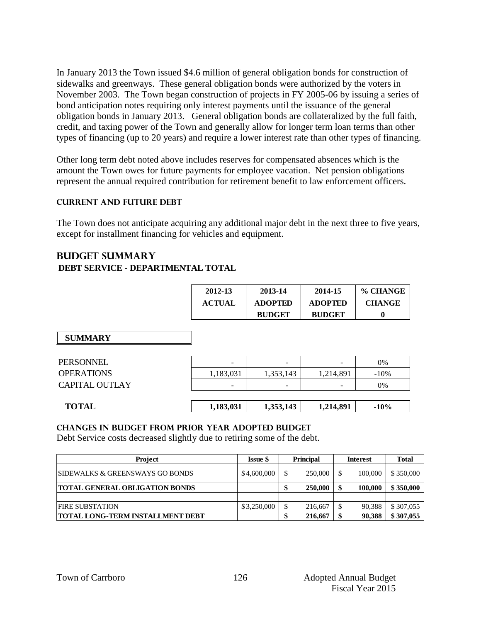In January 2013 the Town issued \$4.6 million of general obligation bonds for construction of sidewalks and greenways. These general obligation bonds were authorized by the voters in November 2003. The Town began construction of projects in FY 2005-06 by issuing a series of bond anticipation notes requiring only interest payments until the issuance of the general obligation bonds in January 2013. General obligation bonds are collateralized by the full faith, credit, and taxing power of the Town and generally allow for longer term loan terms than other types of financing (up to 20 years) and require a lower interest rate than other types of financing.

Other long term debt noted above includes reserves for compensated absences which is the amount the Town owes for future payments for employee vacation. Net pension obligations represent the annual required contribution for retirement benefit to law enforcement officers.

### **Current AND FUTURE Debt**

The Town does not anticipate acquiring any additional major debt in the next three to five years, except for installment financing for vehicles and equipment.

## **BUDGET summary DEBT SERVICE - DEPARTMENTAL TOTAL**

|                       | 2012-13                  | 2013-14        | 2014-15        | % CHANGE      |
|-----------------------|--------------------------|----------------|----------------|---------------|
|                       | <b>ACTUAL</b>            | <b>ADOPTED</b> | <b>ADOPTED</b> | <b>CHANGE</b> |
|                       |                          | <b>BUDGET</b>  | <b>BUDGET</b>  | $\mathbf 0$   |
|                       |                          |                |                |               |
| <b>SUMMARY</b>        |                          |                |                |               |
|                       |                          |                |                |               |
| <b>PERSONNEL</b>      | $\overline{\phantom{0}}$ |                |                | $0\%$         |
| <b>OPERATIONS</b>     | 1,183,031                | 1,353,143      | 1,214,891      | $-10%$        |
| <b>CAPITAL OUTLAY</b> |                          |                |                | $0\%$         |
|                       |                          |                |                |               |
| <b>TOTAL</b>          | 1,183,031                | 1,353,143      | 1,214,891      | $-10%$        |

### **Changes in budget from prior year adopted budget**

Debt Service costs decreased slightly due to retiring some of the debt.

| Project                                     | <b>Issue S</b> | <b>Principal</b> |         | Interest |         | <b>Total</b> |
|---------------------------------------------|----------------|------------------|---------|----------|---------|--------------|
| <b>ISIDEWALKS &amp; GREENSWAYS GO BONDS</b> | \$4,600,000    |                  | 250,000 | -S       | 100,000 | \$350,000    |
| <b>TOTAL GENERAL OBLIGATION BONDS</b>       |                |                  | 250,000 |          | 100,000 | \$350,000    |
|                                             |                |                  |         |          |         |              |
| <b>FIRE SUBSTATION</b>                      | \$3,250,000    |                  | 216,667 |          | 90.388  | \$307,055    |
| <b>TOTAL LONG-TERM INSTALLMENT DEBT</b>     |                |                  | 216,667 |          | 90.388  | \$307,055    |